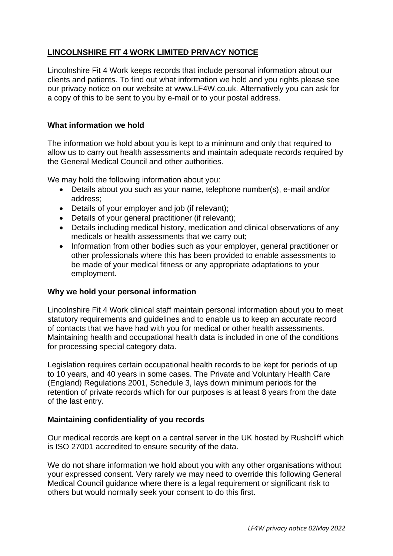# **LINCOLNSHIRE FIT 4 WORK LIMITED PRIVACY NOTICE**

Lincolnshire Fit 4 Work keeps records that include personal information about our clients and patients. To find out what information we hold and you rights please see our privacy notice on our website at www.LF4W.co.uk. Alternatively you can ask for a copy of this to be sent to you by e-mail or to your postal address.

## **What information we hold**

The information we hold about you is kept to a minimum and only that required to allow us to carry out health assessments and maintain adequate records required by the General Medical Council and other authorities.

We may hold the following information about you:

- Details about you such as your name, telephone number(s), e-mail and/or address;
- Details of your employer and job (if relevant);
- Details of your general practitioner (if relevant);
- Details including medical history, medication and clinical observations of any medicals or health assessments that we carry out;
- Information from other bodies such as your employer, general practitioner or other professionals where this has been provided to enable assessments to be made of your medical fitness or any appropriate adaptations to your employment.

## **Why we hold your personal information**

Lincolnshire Fit 4 Work clinical staff maintain personal information about you to meet statutory requirements and guidelines and to enable us to keep an accurate record of contacts that we have had with you for medical or other health assessments. Maintaining health and occupational health data is included in one of the conditions for processing special category data.

Legislation requires certain occupational health records to be kept for periods of up to 10 years, and 40 years in some cases. The Private and Voluntary Health Care (England) Regulations 2001, Schedule 3, lays down minimum periods for the retention of private records which for our purposes is at least 8 years from the date of the last entry.

## **Maintaining confidentiality of you records**

Our medical records are kept on a central server in the UK hosted by Rushcliff which is ISO 27001 accredited to ensure security of the data.

We do not share information we hold about you with any other organisations without your expressed consent. Very rarely we may need to override this following General Medical Council guidance where there is a legal requirement or significant risk to others but would normally seek your consent to do this first.